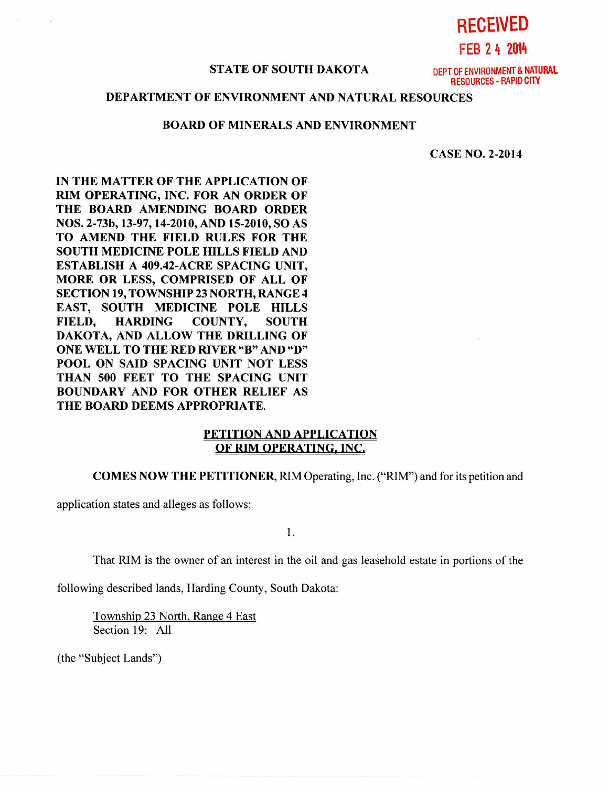**RECEIVED FEB 2 4 2014** 

## **STATE OF SOUTH DAKOTA** DEPT OF ENVIRONMENT & **NATURAL**

RESOURCES - RAPID CITY

# **DEPARTMENT OF ENVIRONMENT AND NATURAL RESOURCES**

### **BOARD OF MINERALS AND ENVIRONMENT**

**CASE NO. 2-2014** 

**IN THE MATTER OF THE APPLICATION OF RIM OPERATING, INC. FOR AN ORDER OF THE BOARD AMENDING BOARD ORDER NOS. 2-73b, 13-97, 14-2010, AND 15-2010, SO AS TO AMEND THE FIELD RULES FOR THE SOUTH MEDICINE POLE HILLS FIELD AND ESTABLISH A 409.42-ACRE SPACING UNIT, MORE OR LESS, COMPRISED OF ALL OF SECTION 19, TOWNSHIP 23 NORTH, RANGE 4 EAST, SOUTH MEDICINE POLE HILLS FIELD, HARDING COUNTY, SOUTH DAKOTA, AND ALLOW THE DRILLING OF ONE WELL TO THE RED RIVER "B" AND "D" POOL ON SAID SPACING UNIT NOT LESS THAN 500 FEET TO THE SPACING UNIT BOUNDARY AND FOR OTHER RELIEF AS THE BOARD DEEMS APPROPRIATE.** 

## **PETITION AND APPLICATION OF RIM OPERATING, INC.**

**COMES NOW THE PETITIONER,** RIM Operating, Inc. ("RIM") and for its petition and

application states and alleges as follows:

1.

That RIM is the owner of an interest in the oil and gas leasehold estate in portions of the

following described lands, Harding County, South Dakota:

Township 23 North, Range 4 East Section 19: All

(the "Subject Lands")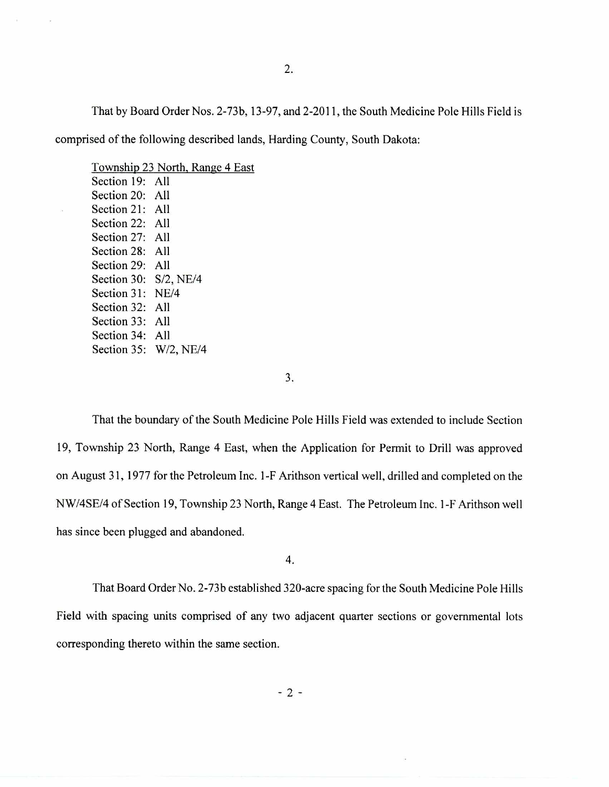That by Board Order Nos. 2-73b, 13-97, and 2-2011, the South Medicine Pole Hills Field is

comprised of the following described lands, Harding County, South Dakota:

Township 23 North, Range 4 East Section 19: All Section 20: All Section 21: All Section 22: All Section 27: All Section 28: All Section 29: All Section 30: S/2, NE/4 Section 31: NE/4 Section 32: All Section 33: All Section 34: All Section 35: W/2, NE/4

3.

That the boundary of the South Medicine Pole Hills Field was extended to include Section 19, Township 23 North, Range 4 East, when the Application for Permit to Drill was approved on August 31, 1977 for the Petroleum Inc. 1-F Arithson vertical well, drilled and completed on the NW/4SE/4 of Section 19, Township 23 North, Range 4 East. The Petroleum Inc. 1-F Arithson well has since been plugged and abandoned.

4.

That Board Order No. 2-73b established 320-acre spacing for the South Medicine Pole Hills Field with spacing units comprised of any two adjacent quarter sections or governmental lots corresponding thereto within the same section.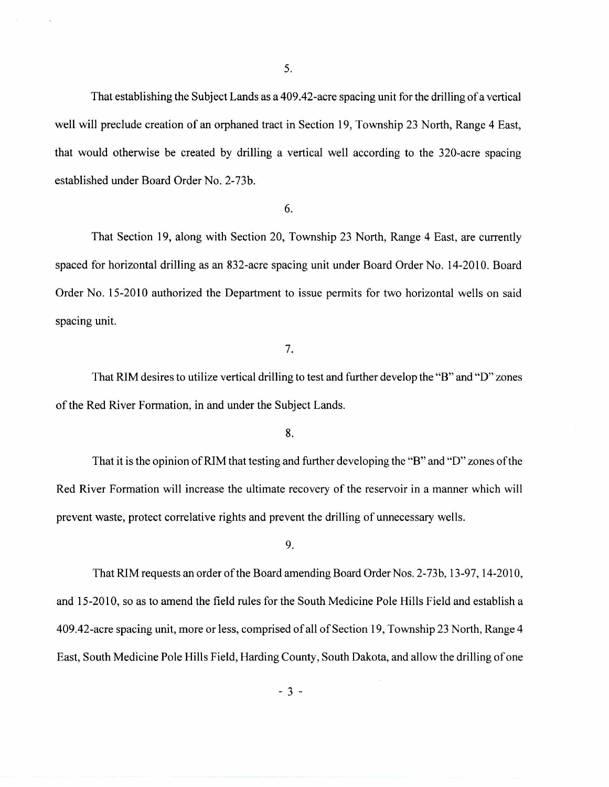That establishing the Subject Lands as a 409.42-acre spacing unit for the drilling of a vertical well will preclude creation of an orphaned tract in Section 19, Township 23 North, Range 4 East, that would otherwise be created by drilling a vertical well according to the 320-acre spacing established under Board Order No. 2-73b.

6.

That Section 19, along with Section 20, Township 23 North, Range 4 East, are currently spaced for horizontal drilling as an 832-acre spacing unit under Board Order No. 14-2010. Board Order No. 15-2010 authorized the Department to issue permits for two horizontal wells on said spacing unit.

7.

That RIM desires to utilize vertical drilling to test and further develop the "B" and "D" zones of the Red River Formation, in and under the Subject Lands.

8.

That it is the opinion of RIM that testing and further developing the "B" and "D" zones of the Red River Formation will increase the ultimate recovery of the reservoir in a manner which will prevent waste, protect correlative rights and prevent the drilling of unnecessary wells.

9.

That RIM requests an order of the Board amending Board Order Nos. 2-73b, 13-97, 14-2010, and 15-2010, so as to amend the field rules for the South Medicine Pole Hills Field and establish a 409.42-acre spacing unit, more or less, comprised of all of Section 19, Township 23 North, Range 4 East, South Medicine Pole Hills Field, Harding County, South Dakota, and allow the drilling of one

 $-3-$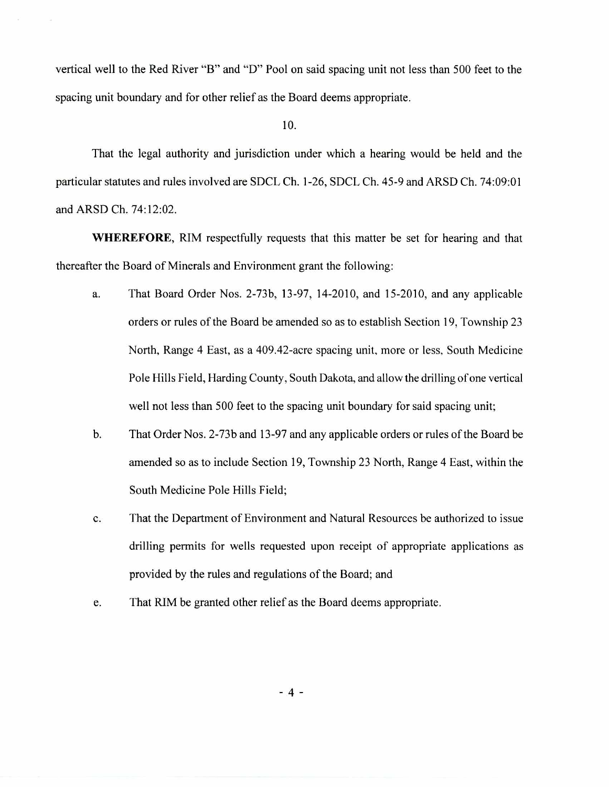vertical well to the Red River "B" and "D" Pool on said spacing unit not less than 500 feet to the spacing unit boundary and for other relief as the Board deems appropriate.

#### 10.

That the legal authority and jurisdiction under which a hearing would be held and the particular statutes and rules involved are SDCL Ch. 1-26, SDCL Ch. 45-9 and ARSD Ch. 74:09:01 and ARSD Ch. 74:12:02.

**WHEREFORE,** RIM respectfully requests that this matter be set for hearing and that thereafter the Board of Minerals and Environment grant the following:

- a. That Board Order Nos. 2-73b, 13-97, 14-2010, and 15-2010, and any applicable orders or rules of the Board be amended so as to establish Section 19, Township 23 North, Range 4 East, as a 409.42-acre spacing unit, more or less, South Medicine Pole Hills Field, Harding County, South Dakota, and allow the drilling of one vertical well not less than 500 feet to the spacing unit boundary for said spacing unit;
- b. That Order Nos. 2-73b and 13-97 and any applicable orders or rules of the Board be amended so as to include Section 19, Township 23 North, Range 4 East, within the South Medicine Pole Hills Field;
- c. That the Department of Environment and Natural Resources be authorized to issue drilling permits for wells requested upon receipt of appropriate applications as provided by the rules and regulations of the Board; and
- e. That RIM be granted other relief as the Board deems appropriate.

 $-4-$